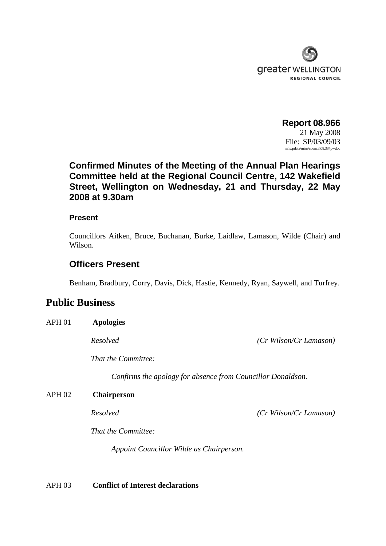

**Report 08.966**  21 May 2008 File: SP/03/09/03 m:\wpdata\mins\council\08.334pwdoc

# **Confirmed Minutes of the Meeting of the Annual Plan Hearings Committee held at the Regional Council Centre, 142 Wakefield Street, Wellington on Wednesday, 21 and Thursday, 22 May 2008 at 9.30am**

### **Present**

Councillors Aitken, Bruce, Buchanan, Burke, Laidlaw, Lamason, Wilde (Chair) and Wilson.

### **Officers Present**

Benham, Bradbury, Corry, Davis, Dick, Hastie, Kennedy, Ryan, Saywell, and Turfrey.

## **Public Business**

APH 01 **Apologies** *Resolved (Cr Wilson/Cr Lamason) That the Committee: Confirms the apology for absence from Councillor Donaldson.*  APH 02 **Chairperson**

*Resolved (Cr Wilson/Cr Lamason)* 

*That the Committee:* 

 *Appoint Councillor Wilde as Chairperson.* 

APH 03 **Conflict of Interest declarations**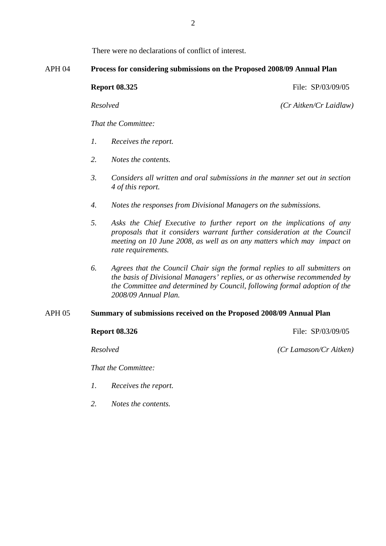There were no declarations of conflict of interest.

#### APH 04 **Process for considering submissions on the Proposed 2008/09 Annual Plan**

**Report 08.325** File: SP/03/09/05

*Resolved (Cr Aitken/Cr Laidlaw)*

*That the Committee:* 

- *1. Receives the report.*
- *2. Notes the contents.*
- *3. Considers all written and oral submissions in the manner set out in section 4 of this report.*
- *4. Notes the responses from Divisional Managers on the submissions.*
- *5. Asks the Chief Executive to further report on the implications of any proposals that it considers warrant further consideration at the Council meeting on 10 June 2008, as well as on any matters which may impact on rate requirements.*
- *6. Agrees that the Council Chair sign the formal replies to all submitters on the basis of Divisional Managers' replies, or as otherwise recommended by the Committee and determined by Council, following formal adoption of the 2008/09 Annual Plan.*

#### APH 05 **Summary of submissions received on the Proposed 2008/09 Annual Plan**

**Report 08.326** File: SP/03/09/05

*Resolved (Cr Lamason/Cr Aitken)*

*That the Committee:* 

- *1. Receives the report.*
- *2. Notes the contents.*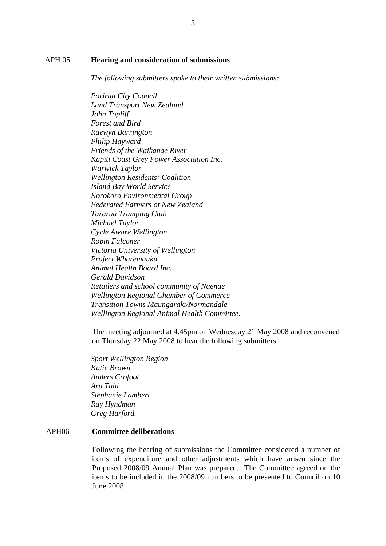#### APH 05 **Hearing and consideration of submissions**

*The following submitters spoke to their written submissions:* 

*Porirua City Council Land Transport New Zealand John Topliff Forest and Bird Raewyn Barrington Philip Hayward Friends of the Waikanae River Kapiti Coast Grey Power Association Inc. Warwick Taylor Wellington Residents' Coalition Island Bay World Service Korokoro Environmental Group Federated Farmers of New Zealand Tararua Tramping Club Michael Taylor Cycle Aware Wellington Robin Falconer Victoria University of Wellington Project Wharemauku Animal Health Board Inc. Gerald Davidson Retailers and school community of Naenae Wellington Regional Chamber of Commerce Transition Towns Maungaraki/Normandale Wellington Regional Animal Health Committee.* 

The meeting adjourned at 4.45pm on Wednesday 21 May 2008 and reconvened on Thursday 22 May 2008 to hear the following submitters:

*Sport Wellington Region Katie Brown Anders Crofoot Ara Tahi Stephanie Lambert Ray Hyndman Greg Harford.* 

#### APH06 **Committee deliberations**

Following the hearing of submissions the Committee considered a number of items of expenditure and other adjustments which have arisen since the Proposed 2008/09 Annual Plan was prepared. The Committee agreed on the items to be included in the 2008/09 numbers to be presented to Council on 10 June 2008.